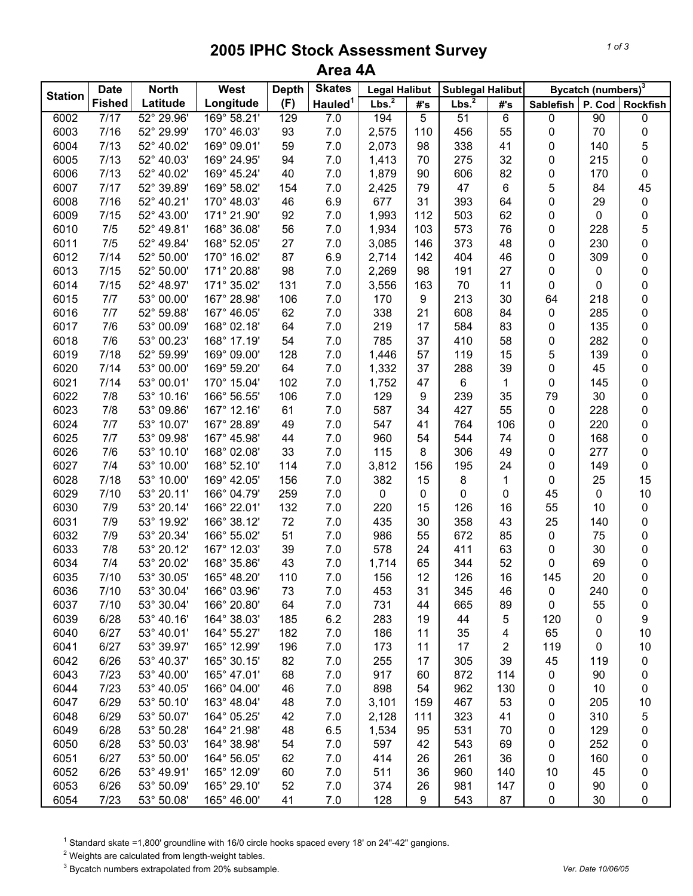## **2005 IPHC Stock Assessment Survey Area 4A**

| <b>Station</b> | <b>Date</b>   | <b>North</b> | <b>West</b> | <b>Depth</b> | <b>Skates</b>       | <b>Legal Halibut</b> |     | Sublegal Halibut  |              | Bycatch (numbers) <sup>3</sup> |        |                 |  |
|----------------|---------------|--------------|-------------|--------------|---------------------|----------------------|-----|-------------------|--------------|--------------------------------|--------|-----------------|--|
|                | <b>Fished</b> | Latitude     | Longitude   | (F)          | Hauled <sup>1</sup> | Lbs. <sup>2</sup>    | #'s | Lbs. <sup>2</sup> | #'s          | <b>Sablefish</b>               | P. Cod | <b>Rockfish</b> |  |
| 6002           | 7/17          | 52° 29.96'   | 169° 58.21' | 129          | 7.0                 | 194                  | 5   | 51                | 6            | 0                              | 90     | 0               |  |
| 6003           | 7/16          | 52° 29.99'   | 170° 46.03' | 93           | $7.0$               | 2,575                | 110 | 456               | 55           | 0                              | 70     | 0               |  |
| 6004           | 7/13          | 52° 40.02'   | 169° 09.01' | 59           | 7.0                 | 2,073                | 98  | 338               | 41           | 0                              | 140    | 5               |  |
| 6005           | 7/13          | 52° 40.03'   | 169° 24.95' | 94           | 7.0                 | 1,413                | 70  | 275               | 32           | 0                              | 215    | 0               |  |
| 6006           | 7/13          | 52° 40.02'   | 169° 45.24' | 40           | 7.0                 | 1,879                | 90  | 606               | 82           | 0                              | 170    | 0               |  |
| 6007           | 7/17          | 52° 39.89'   | 169° 58.02' | 154          | 7.0                 | 2,425                | 79  | 47                | 6            | 5                              | 84     | 45              |  |
| 6008           | 7/16          | 52° 40.21'   | 170° 48.03' | 46           | 6.9                 | 677                  | 31  | 393               | 64           | 0                              | 29     | 0               |  |
| 6009           | 7/15          | 52° 43.00'   | 171° 21.90' | 92           | 7.0                 | 1,993                | 112 | 503               | 62           | 0                              | 0      | 0               |  |
| 6010           | 7/5           | 52° 49.81'   | 168° 36.08' | 56           | 7.0                 | 1,934                | 103 | 573               | 76           | 0                              | 228    | 5               |  |
| 6011           | 7/5           | 52° 49.84'   | 168° 52.05' | 27           | 7.0                 | 3,085                | 146 | 373               | 48           | 0                              | 230    | 0               |  |
| 6012           | 7/14          | 52° 50.00'   | 170° 16.02' | 87           | 6.9                 | 2,714                | 142 | 404               | 46           | 0                              | 309    | 0               |  |
| 6013           | 7/15          | 52° 50.00'   | 171° 20.88' | 98           | 7.0                 | 2,269                | 98  | 191               | 27           | 0                              | 0      | 0               |  |
| 6014           | 7/15          | 52° 48.97'   | 171° 35.02' | 131          | 7.0                 | 3,556                | 163 | 70                | 11           | 0                              | 0      | 0               |  |
| 6015           | 7/7           | 53° 00.00'   | 167° 28.98' | 106          | 7.0                 | 170                  | 9   | 213               | 30           | 64                             | 218    | 0               |  |
| 6016           | 7/7           | 52° 59.88'   | 167° 46.05' | 62           | 7.0                 | 338                  | 21  | 608               | 84           | 0                              | 285    | 0               |  |
| 6017           | 7/6           | 53° 00.09'   | 168° 02.18' | 64           | 7.0                 | 219                  | 17  | 584               | 83           | 0                              | 135    | 0               |  |
| 6018           | 7/6           | 53° 00.23'   | 168° 17.19' | 54           | 7.0                 | 785                  | 37  | 410               | 58           | 0                              | 282    | 0               |  |
| 6019           | 7/18          | 52° 59.99'   | 169° 09.00' | 128          | $7.0$               | 1,446                | 57  | 119               | 15           | 5                              | 139    | 0               |  |
| 6020           | 7/14          | 53° 00.00'   | 169° 59.20' | 64           | $7.0$               | 1,332                | 37  | 288               | 39           | 0                              | 45     | 0               |  |
| 6021           | 7/14          | 53° 00.01'   | 170° 15.04' | 102          | $7.0$               | 1,752                | 47  | 6                 | $\mathbf{1}$ | 0                              | 145    | 0               |  |
| 6022           | 7/8           | 53° 10.16'   | 166° 56.55' | 106          | $7.0$               | 129                  | 9   | 239               | 35           | 79                             | 30     | 0               |  |
| 6023           | 7/8           | 53° 09.86'   | 167° 12.16' | 61           | $7.0$               | 587                  | 34  | 427               | 55           | 0                              | 228    | 0               |  |
| 6024           | 7/7           | 53° 10.07'   | 167° 28.89' | 49           | 7.0                 | 547                  | 41  | 764               | 106          | 0                              | 220    | 0               |  |
| 6025           | 7/7           | 53° 09.98'   | 167° 45.98' | 44           | $7.0$               | 960                  | 54  | 544               | 74           | 0                              | 168    | 0               |  |
| 6026           | 7/6           | 53° 10.10'   | 168° 02.08' | 33           | $7.0$               | 115                  | 8   | 306               | 49           | 0                              | 277    | 0               |  |
| 6027           | 7/4           | 53° 10.00'   | 168° 52.10' | 114          | 7.0                 | 3,812                | 156 | 195               | 24           | 0                              | 149    | 0               |  |
| 6028           | 7/18          | 53° 10.00'   | 169° 42.05' | 156          | 7.0                 | 382                  | 15  | 8                 | 1            | 0                              | 25     | 15              |  |
| 6029           | 7/10          | 53° 20.11'   | 166° 04.79' | 259          | 7.0                 | 0                    | 0   | 0                 | 0            | 45                             | 0      | 10              |  |
| 6030           | 7/9           | 53° 20.14'   | 166° 22.01' | 132          | 7.0                 | 220                  | 15  | 126               | 16           | 55                             | 10     | 0               |  |
| 6031           | 7/9           | 53° 19.92'   | 166° 38.12' | 72           | 7.0                 | 435                  | 30  | 358               | 43           | 25                             | 140    | 0               |  |
| 6032           | 7/9           | 53° 20.34'   | 166° 55.02' | 51           | 7.0                 | 986                  | 55  | 672               | 85           | 0                              | 75     | 0               |  |
| 6033           | 7/8           | 53° 20.12'   | 167° 12.03' | 39           | 7.0                 | 578                  | 24  | 411               | 63           | 0                              | 30     | 0               |  |
| 6034           | 7/4           | 53° 20.02'   | 168° 35.86' | 43           | 7.0                 | 1,714                | 65  | 344               | 52           | 0                              | 69     | 0               |  |
| 6035           | 7/10          | 53° 30.05'   | 165° 48.20' | 110          | 7.0                 | 156                  | 12  | 126               | 16           | 145                            | 20     | 0               |  |
| 6036           | 7/10          | 53° 30.04'   | 166° 03.96' | 73           | 7.0                 | 453                  | 31  | 345               | 46           | 0                              | 240    | 0               |  |
| 6037           | 7/10          | 53° 30.04'   | 166° 20.80' | 64           | 7.0                 | 731                  | 44  | 665               | 89           | 0                              | 55     | 0               |  |
| 6039           | 6/28          | 53° 40.16'   | 164° 38.03' | 185          | 6.2                 | 283                  | 19  | 44                | 5            | 120                            | 0      | 9               |  |
| 6040           | 6/27          | 53° 40.01'   | 164° 55.27' | 182          | 7.0                 | 186                  | 11  | 35                | 4            | 65                             | 0      | 10              |  |
| 6041           | 6/27          | 53° 39.97'   | 165° 12.99' | 196          | 7.0                 | 173                  | 11  | 17                | 2            | 119                            | 0      | 10              |  |
| 6042           | 6/26          | 53° 40.37'   | 165° 30.15' | 82           | 7.0                 | 255                  | 17  | 305               | 39           | 45                             | 119    | 0               |  |
| 6043           | 7/23          | 53° 40.00'   | 165° 47.01' | 68           | 7.0                 | 917                  | 60  | 872               | 114          | 0                              | 90     | 0               |  |
| 6044           | 7/23          | 53° 40.05'   | 166° 04.00' | 46           | 7.0                 | 898                  | 54  | 962               | 130          | 0                              | 10     | 0               |  |
| 6047           | 6/29          | 53° 50.10'   | 163° 48.04' | 48           | $7.0$               | 3,101                | 159 | 467               | 53           | 0                              | 205    | 10              |  |
| 6048           | 6/29          | 53° 50.07'   | 164° 05.25' | 42           | $7.0$               | 2,128                | 111 | 323               | 41           | 0                              | 310    | 5               |  |
| 6049           | 6/28          | 53° 50.28'   | 164° 21.98' | 48           | 6.5                 | 1,534                | 95  | 531               | 70           | 0                              | 129    | 0               |  |
| 6050           | 6/28          | 53° 50.03'   | 164° 38.98' | 54           | 7.0                 | 597                  | 42  | 543               | 69           | 0                              | 252    | 0               |  |
| 6051           | 6/27          | 53° 50.00'   | 164° 56.05' | 62           | 7.0                 | 414                  | 26  | 261               | 36           | 0                              | 160    | 0               |  |
| 6052           | 6/26          | 53° 49.91'   | 165° 12.09' | 60           | 7.0                 | 511                  | 36  | 960               | 140          | 10                             | 45     | 0               |  |
| 6053           | 6/26          | 53° 50.09'   | 165° 29.10' | 52           | 7.0                 | 374                  | 26  | 981               | 147          | 0                              | 90     | 0               |  |
| 6054           | 7/23          | 53° 50.08'   | 165° 46.00' | 41           | 7.0                 | 128                  | 9   | 543               | 87           | 0                              | 30     | 0               |  |

<sup>1</sup> Standard skate =1,800' groundline with 16/0 circle hooks spaced every 18' on 24"-42" gangions.

 $2$  Weights are calculated from length-weight tables.

3 Bycatch numbers extrapolated from 20% subsample. *Ver. Date 10/06/05*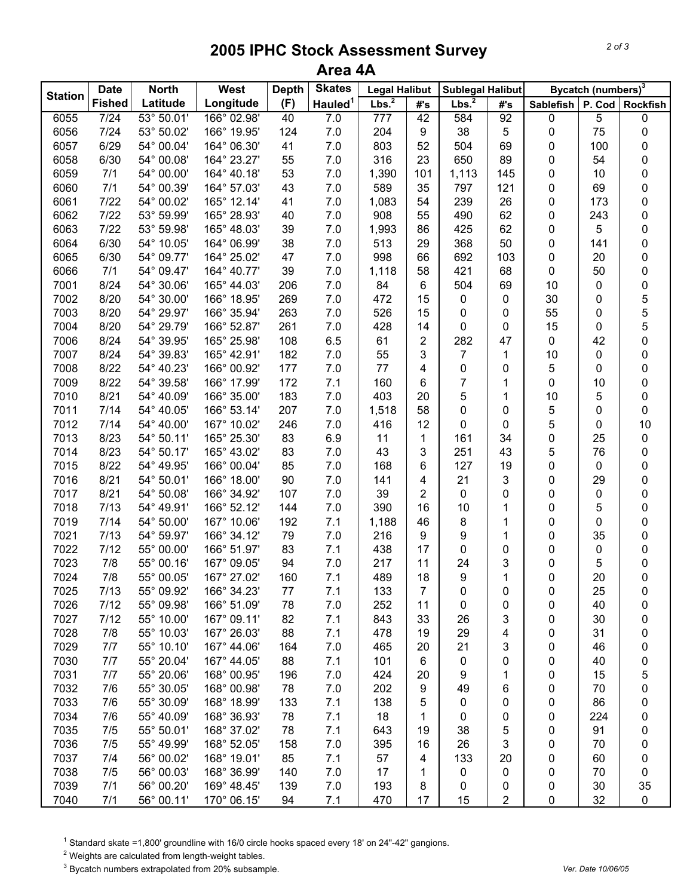## **2005 IPHC Stock Assessment Survey Area 4A**

|                | <b>Date</b>   | <b>North</b> | West        | <b>Depth</b> | <b>Skates</b>       | <b>Legal Halibut</b> |                | Sublegal Halibut  |     |           | Bycatch (numbers) <sup>3</sup> |          |
|----------------|---------------|--------------|-------------|--------------|---------------------|----------------------|----------------|-------------------|-----|-----------|--------------------------------|----------|
| <b>Station</b> | <b>Fished</b> | Latitude     | Longitude   | (F)          | Hauled <sup>1</sup> | Lbs. $^2$            | #'s            | Lbs. <sup>2</sup> | #'s | Sablefish | P. Cod                         | Rockfish |
| 6055           | 7/24          | 53° 50.01'   | 166° 02.98' | 40           | $7.0$               | 777                  | 42             | 584               | 92  | 0         | 5                              | 0        |
| 6056           | 7/24          | 53° 50.02'   | 166° 19.95' | 124          | 7.0                 | 204                  | 9              | 38                | 5   | 0         | 75                             | 0        |
| 6057           | 6/29          | 54° 00.04'   | 164° 06.30' | 41           | 7.0                 | 803                  | 52             | 504               | 69  | 0         | 100                            | 0        |
| 6058           | 6/30          | 54° 00.08'   | 164° 23.27' | 55           | 7.0                 | 316                  | 23             | 650               | 89  | 0         | 54                             | 0        |
| 6059           | 7/1           | 54° 00.00'   | 164° 40.18' | 53           | 7.0                 | 1,390                | 101            | 1,113             | 145 | 0         | 10                             | 0        |
| 6060           | 7/1           | 54° 00.39'   | 164° 57.03' | 43           | 7.0                 | 589                  | 35             | 797               | 121 | 0         | 69                             | 0        |
| 6061           | 7/22          | 54° 00.02'   | 165° 12.14' | 41           | 7.0                 | 1,083                | 54             | 239               | 26  | 0         | 173                            | 0        |
| 6062           | 7/22          | 53° 59.99'   | 165° 28.93' | 40           | 7.0                 | 908                  | 55             | 490               | 62  | 0         | 243                            | 0        |
| 6063           | 7/22          | 53° 59.98'   | 165° 48.03' | 39           | 7.0                 | 1,993                | 86             | 425               | 62  | 0         | 5                              | 0        |
| 6064           | 6/30          | 54° 10.05'   | 164° 06.99' | 38           | 7.0                 | 513                  | 29             | 368               | 50  | 0         | 141                            | 0        |
| 6065           | 6/30          | 54° 09.77'   | 164° 25.02' | 47           | 7.0                 | 998                  | 66             | 692               | 103 | 0         | 20                             | 0        |
| 6066           | 7/1           | 54° 09.47'   | 164° 40.77' | 39           | 7.0                 | 1,118                | 58             | 421               | 68  | 0         | 50                             | 0        |
| 7001           | 8/24          | 54° 30.06'   | 165° 44.03' | 206          | 7.0                 | 84                   | 6              | 504               | 69  | 10        | 0                              | 0        |
| 7002           | 8/20          | 54° 30.00'   | 166° 18.95' | 269          | 7.0                 | 472                  | 15             | 0                 | 0   | 30        | 0                              | 5        |
| 7003           | 8/20          | 54° 29.97'   | 166° 35.94' | 263          | 7.0                 | 526                  | 15             | 0                 | 0   | 55        | 0                              | 5        |
| 7004           | 8/20          | 54° 29.79'   | 166° 52.87' | 261          | 7.0                 | 428                  | 14             | 0                 | 0   | 15        | 0                              | 5        |
| 7006           | 8/24          | 54° 39.95'   | 165° 25.98' | 108          | 6.5                 | 61                   | $\mathbf 2$    | 282               | 47  | 0         | 42                             | 0        |
| 7007           | 8/24          | 54° 39.83'   | 165° 42.91' | 182          | 7.0                 | 55                   | 3              | 7                 | 1   | 10        | 0                              | 0        |
| 7008           | 8/22          | 54° 40.23'   | 166° 00.92' | 177          | 7.0                 | 77                   | 4              | 0                 | 0   | 5         | 0                              | 0        |
| 7009           | 8/22          | 54° 39.58'   | 166° 17.99' | 172          | 7.1                 | 160                  | 6              | 7                 | 1   | 0         | 10                             | 0        |
| 7010           | 8/21          | 54° 40.09'   | 166° 35.00' | 183          | 7.0                 | 403                  | 20             | 5                 | 1   | 10        | 5                              | 0        |
| 7011           | 7/14          | 54° 40.05'   | 166° 53.14' | 207          | 7.0                 | 1,518                | 58             | 0                 | 0   | 5         | 0                              | 0        |
| 7012           | 7/14          | 54° 40.00'   | 167° 10.02' | 246          | 7.0                 | 416                  | 12             | 0                 | 0   | 5         | 0                              | 10       |
| 7013           | 8/23          | 54° 50.11'   | 165° 25.30' | 83           | 6.9                 | 11                   | 1              | 161               | 34  | 0         | 25                             | 0        |
| 7014           | 8/23          | 54° 50.17'   | 165° 43.02' | 83           | 7.0                 | 43                   | 3              | 251               | 43  | 5         | 76                             | 0        |
| 7015           | 8/22          | 54° 49.95'   | 166° 00.04' | 85           | 7.0                 | 168                  | 6              | 127               | 19  | 0         | 0                              | 0        |
| 7016           | 8/21          | 54° 50.01'   | 166° 18.00' | 90           | 7.0                 | 141                  | 4              | 21                | 3   | 0         | 29                             | 0        |
| 7017           | 8/21          | 54° 50.08'   | 166° 34.92' | 107          | 7.0                 | 39                   | $\overline{2}$ | 0                 | 0   | 0         | 0                              | 0        |
| 7018           | 7/13          | 54° 49.91'   | 166° 52.12' | 144          | 7.0                 | 390                  | 16             | 10                | 1   | 0         | 5                              | 0        |
| 7019           | 7/14          | 54° 50.00'   | 167° 10.06' | 192          | 7.1                 | 1,188                | 46             | 8                 | 1   | 0         | 0                              | 0        |
| 7021           | 7/13          | 54° 59.97'   | 166° 34.12' | 79           | 7.0                 | 216                  | 9              | 9                 | 1   | 0         | 35                             | 0        |
| 7022           | 7/12          | 55° 00.00'   | 166° 51.97' | 83           | 7.1                 | 438                  | 17             | 0                 | 0   | 0         | 0                              | 0        |
| 7023           | 7/8           | 55° 00.16'   | 167° 09.05' | 94           | 7.0                 | 217                  | 11             | 24                | 3   | 0         | 5                              | 0        |
| 7024           | 7/8           | 55° 00.05'   | 167° 27.02' | 160          | 7.1                 | 489                  | 18             | 9                 | 1   | 0         | 20                             | 0        |
| 7025           | 7/13          | 55° 09.92'   | 166° 34.23' | 77           | 7.1                 | 133                  | 7              | 0                 | 0   | 0         | 25                             | 0        |
| 7026           | 7/12          | 55° 09.98'   | 166° 51.09' | 78           | 7.0                 | 252                  | 11             | 0                 | 0   | 0         | 40                             | 0        |
| 7027           | 7/12          | 55° 10.00'   | 167° 09.11' | 82           | 7.1                 | 843                  | 33             | 26                | 3   | 0         | 30                             | 0        |
| 7028           | 7/8           | 55° 10.03'   | 167° 26.03' | 88           | 7.1                 | 478                  | 19             | 29                | 4   | 0         | 31                             | 0        |
| 7029           | 7/7           | 55° 10.10'   | 167° 44.06' | 164          | 7.0                 | 465                  | 20             | 21                | 3   | 0         | 46                             | 0        |
| 7030           | 7/7           | 55° 20.04'   | 167° 44.05' | 88           | 7.1                 | 101                  | $\,6$          | 0                 | 0   | 0         | 40                             | 0        |
| 7031           | 7/7           | 55° 20.06'   | 168° 00.95' | 196          | 7.0                 | 424                  | 20             | 9                 | 1   | 0         | 15                             | 5        |
| 7032           | 7/6           | 55° 30.05'   | 168° 00.98' | 78           | 7.0                 | 202                  | 9              | 49                | 6   | 0         | 70                             | 0        |
| 7033           | 7/6           | 55° 30.09'   | 168° 18.99' | 133          | 7.1                 | 138                  | 5              | 0                 | 0   | 0         | 86                             | 0        |
| 7034           | 7/6           | 55° 40.09'   | 168° 36.93' | 78           | 7.1                 | 18                   | 1              | 0                 | 0   | 0         | 224                            | 0        |
| 7035           | 7/5           | 55° 50.01'   | 168° 37.02' | 78           | 7.1                 | 643                  | 19             | 38                | 5   | 0         | 91                             | 0        |
| 7036           | 7/5           | 55° 49.99'   | 168° 52.05' | 158          | 7.0                 | 395                  | 16             | 26                | 3   | 0         | 70                             | 0        |
| 7037           | 7/4           | 56° 00.02'   | 168° 19.01' | 85           | 7.1                 | 57                   | 4              | 133               | 20  | 0         | 60                             | 0        |
| 7038           | 7/5           | 56° 00.03'   | 168° 36.99' | 140          | 7.0                 | 17                   | 1              | 0                 | 0   | 0         | 70                             | 0        |
| 7039           | 7/1           | 56° 00.20'   | 169° 48.45' | 139          | 7.0                 | 193                  | 8              | 0                 | 0   | 0         | 30                             | 35       |
| 7040           | 7/1           | 56° 00.11'   | 170° 06.15' | 94           | 7.1                 | 470                  | 17             | 15                | 2   | 0         | 32                             | 0        |

<sup>1</sup> Standard skate =1,800' groundline with 16/0 circle hooks spaced every 18' on 24"-42" gangions.

 $2$  Weights are calculated from length-weight tables.

3 Bycatch numbers extrapolated from 20% subsample. *Ver. Date 10/06/05*